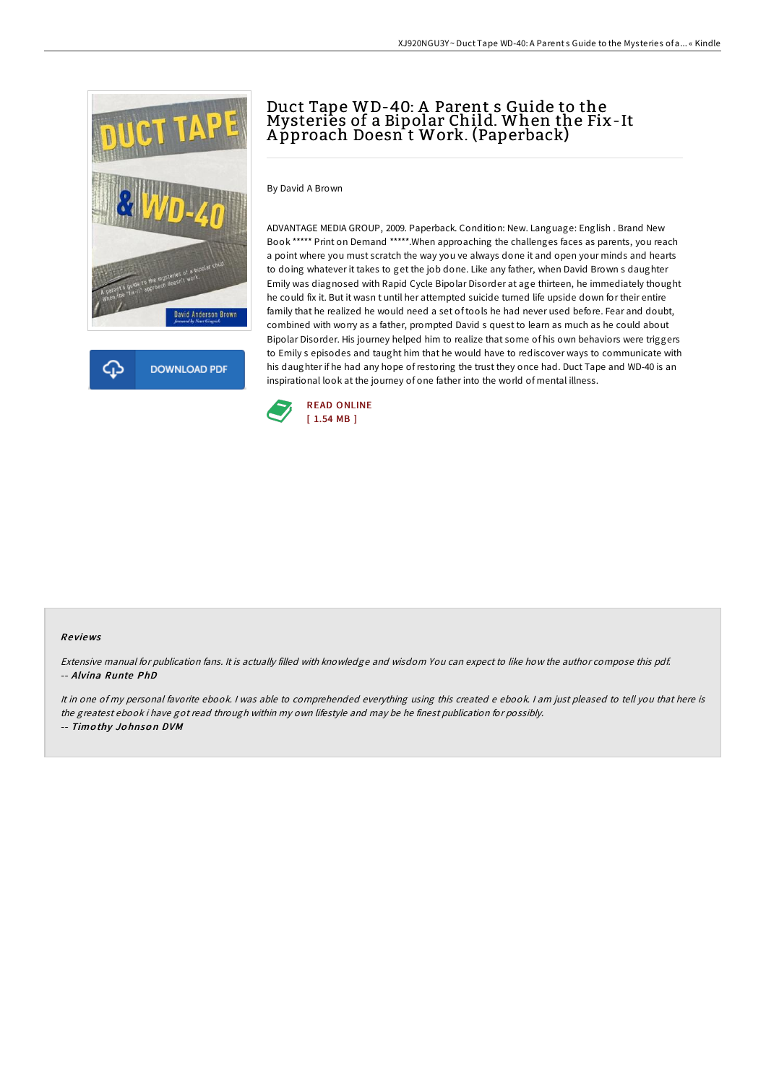



# Duct Tape WD-40: A Parent s Guide to the Mysteries of a Bipolar Child. When the Fix-It A pproach Doesn t Work. (Paperback)

By David A Brown

ADVANTAGE MEDIA GROUP, 2009. Paperback. Condition: New. Language: English . Brand New Book \*\*\*\*\* Print on Demand \*\*\*\*\*.When approaching the challenges faces as parents, you reach a point where you must scratch the way you ve always done it and open your minds and hearts to doing whatever it takes to get the job done. Like any father, when David Brown s daughter Emily was diagnosed with Rapid Cycle Bipolar Disorder at age thirteen, he immediately thought he could fix it. But it wasn t until her attempted suicide turned life upside down for their entire family that he realized he would need a set of tools he had never used before. Fear and doubt, combined with worry as a father, prompted David s quest to learn as much as he could about Bipolar Disorder. His journey helped him to realize that some of his own behaviors were triggers to Emily s episodes and taught him that he would have to rediscover ways to communicate with his daughter if he had any hope ofrestoring the trust they once had. Duct Tape and WD-40 is an inspirational look at the journey of one father into the world of mental illness.



#### Re views

Extensive manual for publication fans. It is actually filled with knowledge and wisdom You can expect to like how the author compose this pdf. -- Alvina Runte PhD

It in one of my personal favorite ebook. I was able to comprehended everything using this created e ebook. I am just pleased to tell you that here is the greatest ebook i have got read through within my own lifestyle and may be he finest publication for possibly. -- Timothy Johnson DVM